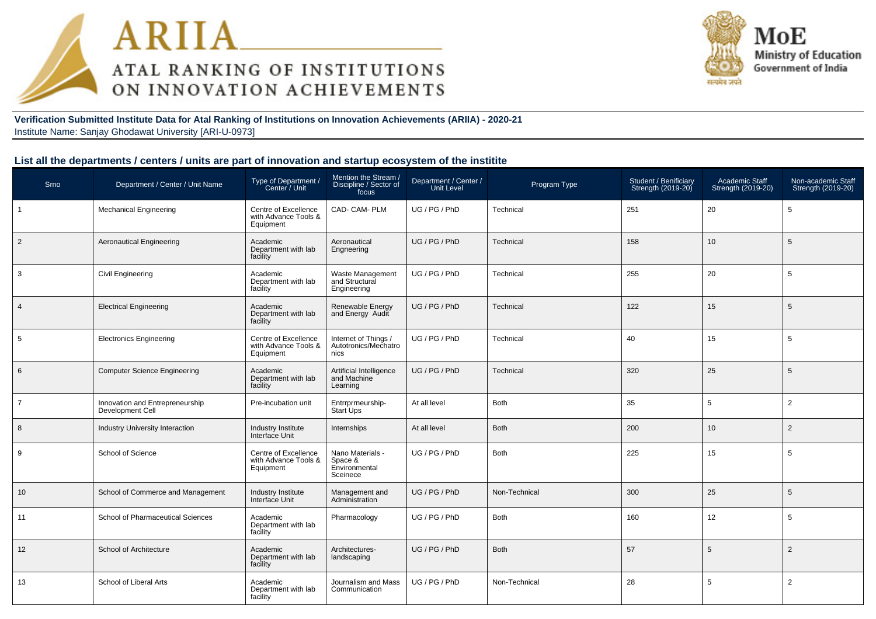



**Verification Submitted Institute Data for Atal Ranking of Institutions on Innovation Achievements (ARIIA) - 2020-21**Institute Name: Sanjay Ghodawat University [ARI-U-0973]

#### **List all the departments / centers / units are part of innovation and startup ecosystem of the institite**

| Srno           | Department / Center / Unit Name                     | Type of Department /<br>Center / Unit                     | Mention the Stream<br>Discipline / Sector of<br>focus    | Department / Center /<br>Unit Level | Program Type  | Student / Benificiary<br>Strength (2019-20) | Academic Staff<br>Strength (2019-20) | Non-academic Staff<br>Strength (2019-20) |
|----------------|-----------------------------------------------------|-----------------------------------------------------------|----------------------------------------------------------|-------------------------------------|---------------|---------------------------------------------|--------------------------------------|------------------------------------------|
| $\mathbf{1}$   | <b>Mechanical Engineering</b>                       | Centre of Excellence<br>with Advance Tools &<br>Equipment | CAD- CAM- PLM                                            | UG / PG / PhD                       | Technical     | 251                                         | 20                                   | 5                                        |
| $\overline{2}$ | <b>Aeronautical Engineering</b>                     | Academic<br>Department with lab<br>facility               | Aeronautical<br>Engneering                               | UG / PG / PhD                       | Technical     | 158                                         | 10                                   | 5                                        |
| 3              | <b>Civil Engineering</b>                            | Academic<br>Department with lab<br>facility               | Waste Management<br>and Structural<br>Engineering        | UG / PG / PhD                       | Technical     | 255                                         | 20                                   | 5                                        |
| $\overline{4}$ | <b>Electrical Engineering</b>                       | Academic<br>Department with lab<br>facility               | Renewable Energy<br>and Energy Audit                     | UG / PG / PhD                       | Technical     | 122                                         | 15                                   | 5                                        |
| 5              | <b>Electronics Engineering</b>                      | Centre of Excellence<br>with Advance Tools &<br>Equipment | Internet of Things /<br>Autotronics/Mechatro<br>nics     | UG / PG / PhD                       | Technical     | 40                                          | 15                                   | 5                                        |
| 6              | <b>Computer Science Engineering</b>                 | Academic<br>Department with lab<br>facility               | Artificial Intelligence<br>and Machine<br>Learning       | UG / PG / PhD                       | Technical     | 320                                         | 25                                   | 5                                        |
| $\overline{7}$ | Innovation and Entrepreneurship<br>Development Cell | Pre-incubation unit                                       | Entrrprrneurship-<br>Start Ups                           | At all level                        | <b>Both</b>   | 35                                          | 5                                    | 2                                        |
| 8              | Industry University Interaction                     | Industry Institute<br>Interface Unit                      | Internships                                              | At all level                        | <b>Both</b>   | 200                                         | 10                                   | 2                                        |
| 9              | School of Science                                   | Centre of Excellence<br>with Advance Tools &<br>Equipment | Nano Materials -<br>Space &<br>Environmental<br>Sceinece | UG / PG / PhD                       | <b>Both</b>   | 225                                         | 15                                   | 5                                        |
| 10             | School of Commerce and Management                   | Industry Institute<br>Interface Unit                      | Management and<br>Administration                         | UG / PG / PhD                       | Non-Technical | 300                                         | 25                                   | 5                                        |
| 11             | School of Pharmaceutical Sciences                   | Academic<br>Department with lab<br>facility               | Pharmacology                                             | UG / PG / PhD                       | <b>Both</b>   | 160                                         | 12                                   | 5                                        |
| 12             | School of Architecture                              | Academic<br>Department with lab<br>facility               | Architectures-<br>landscaping                            | UG / PG / PhD                       | <b>Both</b>   | 57                                          | 5                                    | $\overline{2}$                           |
| 13             | School of Liberal Arts                              | Academic<br>Department with lab<br>facility               | Journalism and Mass<br>Communication                     | UG / PG / PhD                       | Non-Technical | 28                                          | 5                                    | $\overline{2}$                           |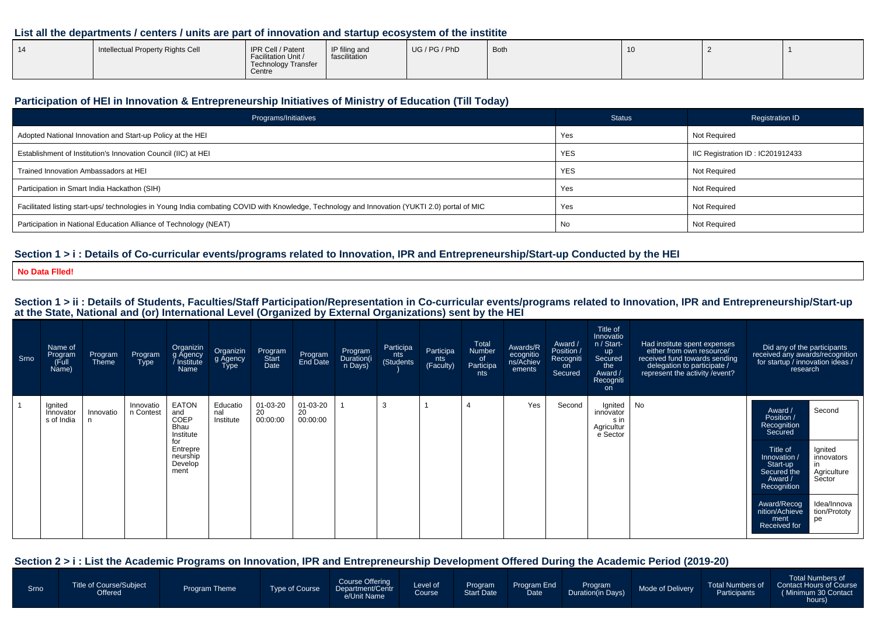## **List all the departments / centers / units are part of innovation and startup ecosystem of the institite**

| $\overline{A}$ | Intellectual Property Rights Cell | IPR Cell / Patent<br>Facilitation Unit /<br>Technology Transfer<br>Centre | IP filing and<br>fascilitation | UG / PG / PhD | <b>Both</b> | . . |  |  |
|----------------|-----------------------------------|---------------------------------------------------------------------------|--------------------------------|---------------|-------------|-----|--|--|
|----------------|-----------------------------------|---------------------------------------------------------------------------|--------------------------------|---------------|-------------|-----|--|--|

#### **Participation of HEI in Innovation & Entrepreneurship Initiatives of Ministry of Education (Till Today)**

| Programs/Initiatives                                                                                                                           | <b>Status</b> | <b>Registration ID</b>           |
|------------------------------------------------------------------------------------------------------------------------------------------------|---------------|----------------------------------|
| Adopted National Innovation and Start-up Policy at the HEI                                                                                     | Yes           | <b>Not Required</b>              |
| Establishment of Institution's Innovation Council (IIC) at HEI                                                                                 | <b>YES</b>    | IIC Registration ID: IC201912433 |
| Trained Innovation Ambassadors at HEI                                                                                                          | <b>YES</b>    | <b>Not Required</b>              |
| Participation in Smart India Hackathon (SIH)                                                                                                   | Yes           | <b>Not Required</b>              |
| Facilitated listing start-ups/ technologies in Young India combating COVID with Knowledge, Technology and Innovation (YUKTI 2.0) portal of MIC | Yes           | <b>Not Required</b>              |
| Participation in National Education Alliance of Technology (NEAT)                                                                              | No            | <b>Not Required</b>              |

## **Section 1 > i : Details of Co-curricular events/programs related to Innovation, IPR and Entrepreneurship/Start-up Conducted by the HEI**

**No Data Flled!**

# Section 1 > ii : Details of Students, Faculties/Staff Participation/Representation in Co-curricular events/programs related to Innovation, IPR and Entrepreneurship/Start-up<br>at the State, National and (or) International Lev

| Srno | Name of<br>Program<br>(Full<br>Name) | Program<br>Theme | Program<br><b>Type</b> | Organizin<br>g Agency<br>Institute /<br>Name                                                       | Organizin<br>g Agency<br>Type | Program<br>Start<br>Date   | Program<br>End Date        | Program<br>Duration(i<br>n Days) | Participa<br>nts<br>(Students) | Participa<br>nts<br>(Faculty) | Total<br>Number<br>of<br>Participa<br>nts | Awards/R<br>ecognitio<br>ns/Achiev<br>ements | Award /<br>Position /<br>Recogniti<br>on<br>Secured | Title of<br>Innovatio<br>n / Start-<br><b>up</b><br>Secured<br>the<br>Award /<br>Recogniti<br><b>on</b> | Had institute spent expenses<br>either from own resource/<br>received fund towards sending<br>delegation to participate /<br>represent the activity / event? | Did any of the participants<br>received any awards/recognition<br>for startup / innovation ideas /<br>research                                                                                                                                                                             |
|------|--------------------------------------|------------------|------------------------|----------------------------------------------------------------------------------------------------|-------------------------------|----------------------------|----------------------------|----------------------------------|--------------------------------|-------------------------------|-------------------------------------------|----------------------------------------------|-----------------------------------------------------|---------------------------------------------------------------------------------------------------------|--------------------------------------------------------------------------------------------------------------------------------------------------------------|--------------------------------------------------------------------------------------------------------------------------------------------------------------------------------------------------------------------------------------------------------------------------------------------|
|      | Ignited<br>Innovator<br>s of India   | Innovatio        | Innovatio<br>n Contest | <b>EATON</b><br>and<br>COEP<br>Bhau<br>Institute<br>for<br>Entrepre<br>neurship<br>Develop<br>ment | Educatio<br>nal<br>Institute  | 01-03-20<br>20<br>00:00:00 | 01-03-20<br>20<br>00:00:00 |                                  | 3                              |                               |                                           | Yes                                          | Second                                              | Ignited<br>innovator<br>s in<br>Agricultur<br>e Sector                                                  | No                                                                                                                                                           | Second<br>Award /<br>Position /<br>Recognition<br>Secured<br>Title of<br>Ignited<br>Innovation /<br>innovators<br>Start-up<br>Agriculture<br>Sector<br>Secured the<br>Award /<br>Recognition<br>Award/Recog<br>Idea/Innova<br>nition/Achieve<br>tion/Prototy<br>ment<br>pe<br>Received for |

#### **Section 2 > i : List the Academic Programs on Innovation, IPR and Entrepreneurship Development Offered During the Academic Period (2019-20)**

| Srno | Title of Course/Subject<br>Offered | <b>Program Theme</b> | Type of Course | Course Offering<br>Department/Centr<br>e/Unit Name | Level of<br>Course | Start Date | Program Program End<br>Date | <b>Program</b><br>Duration(in Days) | Mode of Delivery | <b>Participants</b> | <b>Total Numbers of</b><br>Total Numbers of Contact Hours of Course<br>(Minimum 30 Contact<br>hours) |
|------|------------------------------------|----------------------|----------------|----------------------------------------------------|--------------------|------------|-----------------------------|-------------------------------------|------------------|---------------------|------------------------------------------------------------------------------------------------------|
|------|------------------------------------|----------------------|----------------|----------------------------------------------------|--------------------|------------|-----------------------------|-------------------------------------|------------------|---------------------|------------------------------------------------------------------------------------------------------|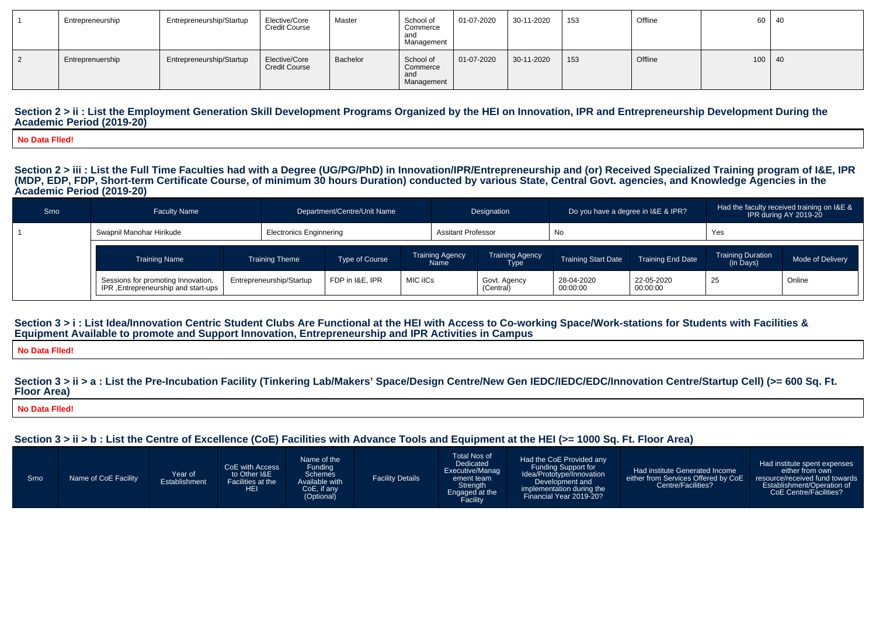| Entrepreneurship | Entrepreneurship/Startup | Elective/Core<br><b>Credit Course</b> | Master   | School of<br>Commerce<br>and<br>Management | 01-07-2020   | 30-11-2020 | 153 | Offline | 60 l     | - 40 |
|------------------|--------------------------|---------------------------------------|----------|--------------------------------------------|--------------|------------|-----|---------|----------|------|
| Entreprenuership | Entrepreneurship/Startup | Elective/Core<br><b>Credit Course</b> | Bachelor | School of<br>Commerce<br>and<br>Management | $01-07-2020$ | 30-11-2020 | 153 | Offline | $100$ 40 |      |

#### Section 2 > ii : List the Employment Generation Skill Development Programs Organized by the HEI on Innovation, IPR and Entrepreneurship Development During the **Academic Period (2019-20)**

**No Data Flled!**

Section 2 > iii : List the Full Time Faculties had with a Degree (UG/PG/PhD) in Innovation/IPR/Entrepreneurship and (or) Received Specialized Training program of I&E, IPR<br>(MDP, EDP, FDP, Short-term Certificate Course, of m **Academic Period (2019-20)**

| Srno | <b>Faculty Name</b>                                                       | Department/Centre/Unit Name |                                |                       | Designation |                                       | Do you have a degree in I&E & IPR? |                            | Had the faculty received training on I&E &<br>IPR during AY 2019-20 |                                       |                  |
|------|---------------------------------------------------------------------------|-----------------------------|--------------------------------|-----------------------|-------------|---------------------------------------|------------------------------------|----------------------------|---------------------------------------------------------------------|---------------------------------------|------------------|
|      | Swapnil Manohar Hirikude                                                  |                             | <b>Electronics Enginnering</b> |                       |             | <b>Assitant Professor</b>             |                                    | No                         |                                                                     | Yes                                   |                  |
|      | <b>Training Name</b>                                                      |                             | <b>Training Theme</b>          | <b>Type of Course</b> |             | <b>Training Agency</b><br><b>Name</b> | <b>Training Agency</b><br>Type     | <b>Training Start Date</b> | <b>Training End Date</b>                                            | <b>Training Duration</b><br>(in Days) | Mode of Delivery |
|      | Sessions for promoting Innovation,<br>IPR, Entrepreneurship and start-ups |                             | Entrepreneurship/Startup       | FDP in I&E. IPR       | MIC iICs    |                                       | Govt. Agency<br>(Central)          | 28-04-2020<br>00:00:00     | 22-05-2020<br>00:00:00                                              | 25                                    | Online           |

#### Section  $3 > i$ : List Idea/Innovation Centric Student Clubs Are Functional at the HEI with Access to Co-working Space/Work-stations for Students with Facilities & **Equipment Available to promote and Support Innovation, Entrepreneurship and IPR Activities in Campus**

**No Data Flled!**

#### Section  $3 > i$  i > a : List the Pre-Incubation Facility (Tinkering Lab/Makers' Space/Design Centre/New Gen IEDC/IEDC/EDC/Innovation Centre/Startup Cell) (>= 600 Sq. Ft. **Floor Area)**

**No Data Flled!**

## **Section 3 > ii > b : List the Centre of Excellence (CoE) Facilities with Advance Tools and Equipment at the HEI (>= 1000 Sq. Ft. Floor Area)**

| Srno | Name of CoE Facility | Year of<br>Establishment | CoE with Access<br>to Other I&E<br>Facilities at the<br><b>HEI</b> | Name of the<br>Funding<br><b>Schemes</b><br>Available with<br>CoE, if any<br>(Optional) | <b>Facility Details</b> | <b>Total Nos of</b><br>Dedicated<br>Executive/Manag<br>ement team<br>Strength<br>Engaged at the<br>Facility | Had the CoE Provided any<br>Funding Support for<br>Idea/Prototype/Innovation<br>Development and<br>implementation during the<br>Financial Year 2019-20? | Had institute Generated Income<br>either from Services Offered by CoE<br>Centre/Facilities? | Had institute spent expenses<br>either from own<br>resource/received fund towards<br>Establishment/Operation of<br>CoE Centre/Facilities? |
|------|----------------------|--------------------------|--------------------------------------------------------------------|-----------------------------------------------------------------------------------------|-------------------------|-------------------------------------------------------------------------------------------------------------|---------------------------------------------------------------------------------------------------------------------------------------------------------|---------------------------------------------------------------------------------------------|-------------------------------------------------------------------------------------------------------------------------------------------|
|------|----------------------|--------------------------|--------------------------------------------------------------------|-----------------------------------------------------------------------------------------|-------------------------|-------------------------------------------------------------------------------------------------------------|---------------------------------------------------------------------------------------------------------------------------------------------------------|---------------------------------------------------------------------------------------------|-------------------------------------------------------------------------------------------------------------------------------------------|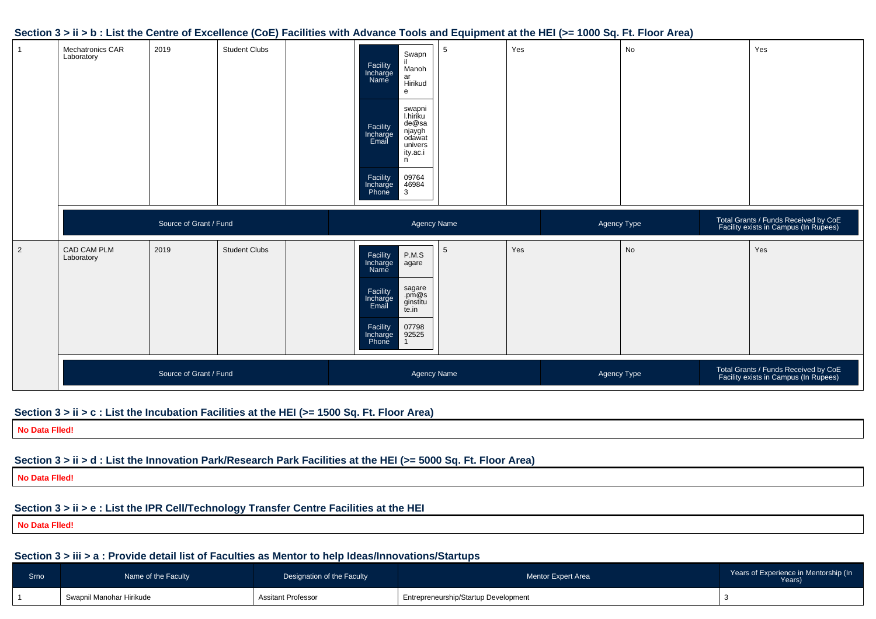#### **Section 3 > ii > b : List the Centre of Excellence (CoE) Facilities with Advance Tools and Equipment at the HEI (>= 1000 Sq. Ft. Floor Area)**



#### **Section 3 > ii > c : List the Incubation Facilities at the HEI (>= 1500 Sq. Ft. Floor Area)**

**No Data Flled!**

## **Section 3 > ii > d : List the Innovation Park/Research Park Facilities at the HEI (>= 5000 Sq. Ft. Floor Area)**

**No Data Flled!**

## **Section 3 > ii > e : List the IPR Cell/Technology Transfer Centre Facilities at the HEI**

**No Data Flled!**

## **Section 3 > iii > a : Provide detail list of Faculties as Mentor to help Ideas/Innovations/Startups**

| Srno | Name of the Faculty      | Designation of the Faculty | <b>Mentor Expert Area</b>            | Years of Experience in Mentorship (In<br>Years) |
|------|--------------------------|----------------------------|--------------------------------------|-------------------------------------------------|
|      | Swapnil Manohar Hirikude | Assitant Professor         | Entrepreneurship/Startup Development |                                                 |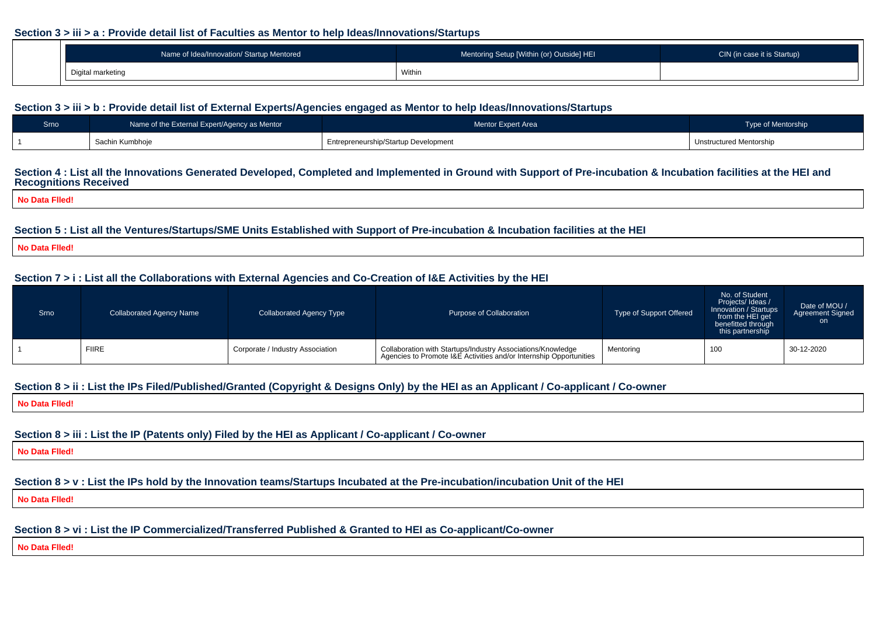#### **Section 3 > iii > a : Provide detail list of Faculties as Mentor to help Ideas/Innovations/Startups**

| Name of Idea/Innovation/ Startup Mentored | Mentoring Setup [Within (or) Outside] HEI | CIN (in case it is Startup) |
|-------------------------------------------|-------------------------------------------|-----------------------------|
| Digital markating                         | Within                                    |                             |

## **Section 3 > iii > b : Provide detail list of External Experts/Agencies engaged as Mentor to help Ideas/Innovations/Startups**

| Srno | Name of the External Expert/Agency as Mentor | <b>Mentor Expert Area</b>            | Type of Mentorship             |
|------|----------------------------------------------|--------------------------------------|--------------------------------|
|      | Sachin Kumbhoje                              | Entrepreneurship/Startup Development | <b>Unstructured Mentorship</b> |

#### **Section 4 : List all the Innovations Generated Developed, Completed and Implemented in Ground with Support of Pre-incubation & Incubation facilities at the HEI andRecognitions Received**

**No Data Flled!**

## **Section 5 : List all the Ventures/Startups/SME Units Established with Support of Pre-incubation & Incubation facilities at the HEI**

**No Data Flled!**

## **Section 7 > i : List all the Collaborations with External Agencies and Co-Creation of I&E Activities by the HEI**

| Srno | <b>Collaborated Agency Name</b><br>Collaborated Agency Type |                                  | Purpose of Collaboration                                                                                                          | Type of Support Offered | No. of Student<br>Projects/ Ideas /<br>Innovation / Startups<br>from the HEI get<br>benefitted through<br>this partnership | Date of MOU /<br><b>Agreement Signed</b><br>on. |
|------|-------------------------------------------------------------|----------------------------------|-----------------------------------------------------------------------------------------------------------------------------------|-------------------------|----------------------------------------------------------------------------------------------------------------------------|-------------------------------------------------|
|      | <b>FIIRE</b>                                                | Corporate / Industry Association | Collaboration with Startups/Industry Associations/Knowledge<br>Agencies to Promote I&E Activities and/or Internship Opportunities | Mentoring               | 100                                                                                                                        | 30-12-2020                                      |

## **Section 8 > ii : List the IPs Filed/Published/Granted (Copyright & Designs Only) by the HEI as an Applicant / Co-applicant / Co-owner**

**No Data Flled!**

## **Section 8 > iii : List the IP (Patents only) Filed by the HEI as Applicant / Co-applicant / Co-owner**

**No Data Flled!**

## **Section 8 > v : List the IPs hold by the Innovation teams/Startups Incubated at the Pre-incubation/incubation Unit of the HEI**

**No Data Flled!**

## **Section 8 > vi : List the IP Commercialized/Transferred Published & Granted to HEI as Co-applicant/Co-owner**

**No Data Flled!**